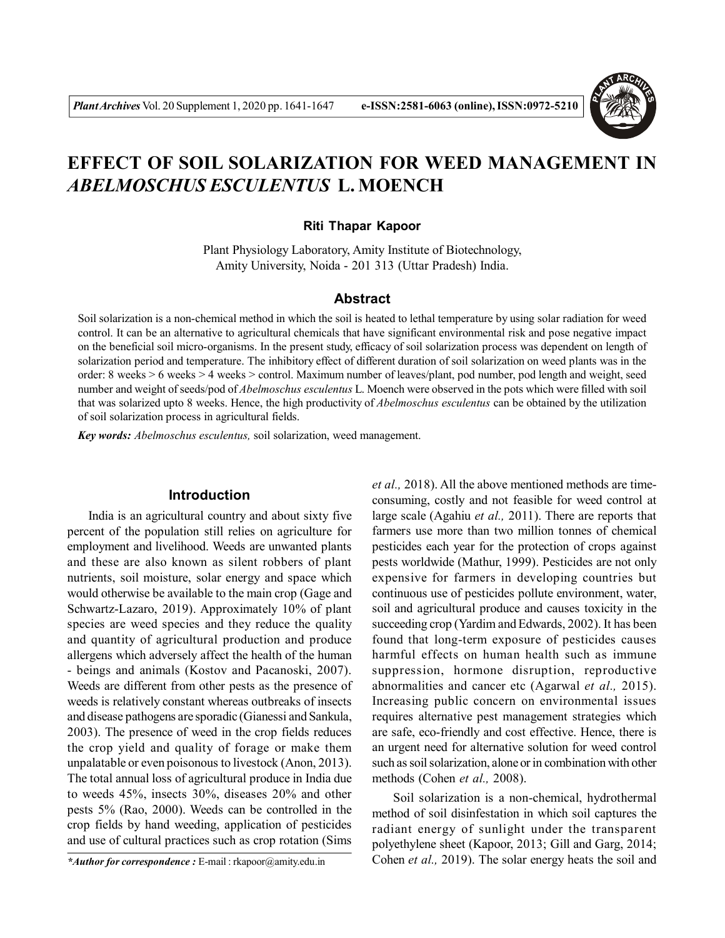

# **EFFECT OF SOIL SOLARIZATION FOR WEED MANAGEMENT IN** *ABELMOSCHUS ESCULENTUS* **L. MOENCH**

#### **Riti Thapar Kapoor**

Plant Physiology Laboratory, Amity Institute of Biotechnology, Amity University, Noida - 201 313 (Uttar Pradesh) India.

# **Abstract**

Soil solarization is a non-chemical method in which the soil is heated to lethal temperature by using solar radiation for weed control. It can be an alternative to agricultural chemicals that have significant environmental risk and pose negative impact on the beneficial soil micro-organisms. In the present study, efficacy of soil solarization process was dependent on length of solarization period and temperature. The inhibitory effect of different duration of soil solarization on weed plants was in the order: 8 weeks > 6 weeks > 4 weeks > control. Maximum number of leaves/plant, pod number, pod length and weight, seed number and weight of seeds/pod of *Abelmoschus esculentus* L. Moench were observed in the pots which were filled with soil that was solarized upto 8 weeks. Hence, the high productivity of *Abelmoschus esculentus* can be obtained by the utilization of soil solarization process in agricultural fields.

*Key words: Abelmoschus esculentus,* soil solarization, weed management.

## **Introduction**

India is an agricultural country and about sixty five percent of the population still relies on agriculture for employment and livelihood. Weeds are unwanted plants and these are also known as silent robbers of plant nutrients, soil moisture, solar energy and space which would otherwise be available to the main crop (Gage and Schwartz-Lazaro, 2019). Approximately 10% of plant species are weed species and they reduce the quality and quantity of agricultural production and produce allergens which adversely affect the health of the human - beings and animals (Kostov and Pacanoski, 2007). Weeds are different from other pests as the presence of weeds is relatively constant whereas outbreaks of insects and disease pathogens are sporadic (Gianessi and Sankula, 2003). The presence of weed in the crop fields reduces the crop yield and quality of forage or make them unpalatable or even poisonous to livestock (Anon, 2013). The total annual loss of agricultural produce in India due to weeds 45%, insects 30%, diseases 20% and other pests 5% (Rao, 2000). Weeds can be controlled in the crop fields by hand weeding, application of pesticides and use of cultural practices such as crop rotation (Sims

*\*Author for correspondence :* E-mail : rkapoor@amity.edu.in

*et al.,* 2018). All the above mentioned methods are timeconsuming, costly and not feasible for weed control at large scale (Agahiu *et al.,* 2011). There are reports that farmers use more than two million tonnes of chemical pesticides each year for the protection of crops against pests worldwide (Mathur, 1999). Pesticides are not only expensive for farmers in developing countries but continuous use of pesticides pollute environment, water, soil and agricultural produce and causes toxicity in the succeeding crop (Yardim and Edwards, 2002). It has been found that long-term exposure of pesticides causes harmful effects on human health such as immune suppression, hormone disruption, reproductive abnormalities and cancer etc (Agarwal *et al.,* 2015). Increasing public concern on environmental issues requires alternative pest management strategies which are safe, eco-friendly and cost effective. Hence, there is an urgent need for alternative solution for weed control such as soil solarization, alone or in combination with other methods (Cohen *et al.,* 2008).

Soil solarization is a non-chemical, hydrothermal method of soil disinfestation in which soil captures the radiant energy of sunlight under the transparent polyethylene sheet (Kapoor, 2013; Gill and Garg, 2014; Cohen *et al.,* 2019). The solar energy heats the soil and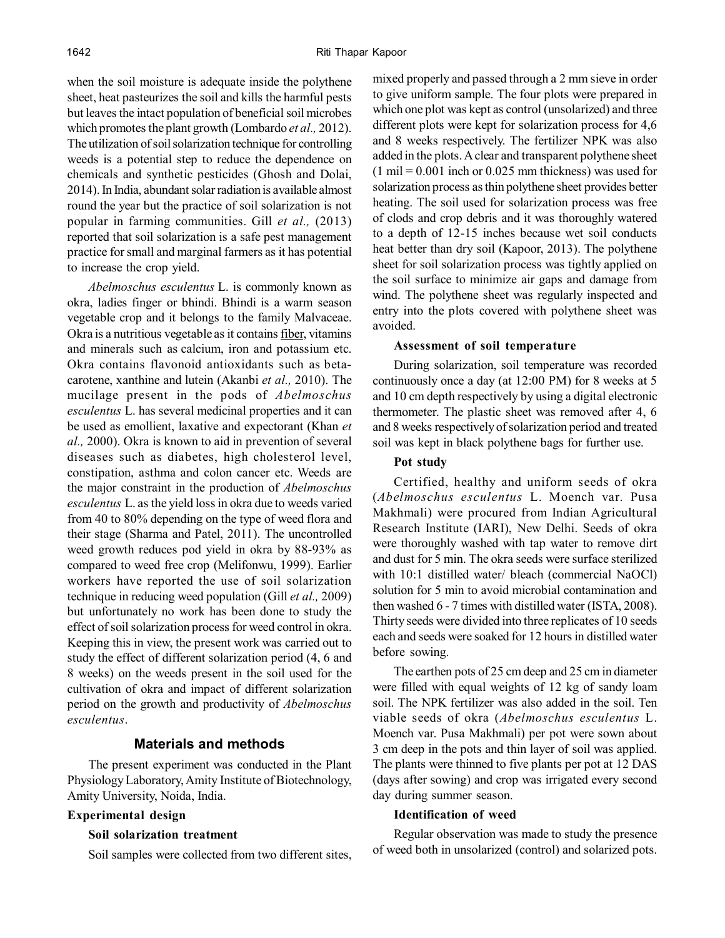when the soil moisture is adequate inside the polythene sheet, heat pasteurizes the soil and kills the harmful pests but leaves the intact population of beneficial soil microbes which promotes the plant growth (Lombardo *et al.,* 2012). The utilization of soil solarization technique for controlling weeds is a potential step to reduce the dependence on chemicals and synthetic pesticides (Ghosh and Dolai, 2014). In India, abundant solar radiation is available almost round the year but the practice of soil solarization is not popular in farming communities. Gill *et al.,* (2013) reported that soil solarization is a safe pest management practice for small and marginal farmers as it has potential to increase the crop yield.

*Abelmoschus esculentus* L. is commonly known as okra, ladies finger or bhindi. Bhindi is a warm season vegetable crop and it belongs to the family Malvaceae. Okra is a nutritious vegetable as it contains fiber, vitamins and minerals such as calcium, iron and potassium etc. Okra contains flavonoid antioxidants such as betacarotene, xanthine and lutein (Akanbi *et al.,* 2010). The mucilage present in the pods of *Abelmoschus esculentus* L. has several medicinal properties and it can be used as emollient, laxative and expectorant (Khan *et al.,* 2000). Okra is known to aid in prevention of several diseases such as diabetes, high cholesterol level, constipation, asthma and colon cancer etc. Weeds are the major constraint in the production of *Abelmoschus esculentus* L. as the yield loss in okra due to weeds varied from 40 to 80% depending on the type of weed flora and their stage (Sharma and Patel, 2011). The uncontrolled weed growth reduces pod yield in okra by 88-93% as compared to weed free crop (Melifonwu, 1999). Earlier workers have reported the use of soil solarization technique in reducing weed population (Gill *et al.,* 2009) but unfortunately no work has been done to study the effect of soil solarization process for weed control in okra. Keeping this in view, the present work was carried out to study the effect of different solarization period (4, 6 and 8 weeks) on the weeds present in the soil used for the cultivation of okra and impact of different solarization period on the growth and productivity of *Abelmoschus esculentus*.

# **Materials and methods**

The present experiment was conducted in the Plant Physiology Laboratory, Amity Institute of Biotechnology, Amity University, Noida, India.

#### **Experimental design**

#### **Soil solarization treatment**

Soil samples were collected from two different sites,

mixed properly and passed through a 2 mm sieve in order to give uniform sample. The four plots were prepared in which one plot was kept as control (unsolarized) and three different plots were kept for solarization process for 4,6 and 8 weeks respectively. The fertilizer NPK was also added in the plots. A clear and transparent polythene sheet  $(1 \text{ mil} = 0.001 \text{ inch or } 0.025 \text{ mm thickness})$  was used for solarization process as thin polythene sheet provides better heating. The soil used for solarization process was free of clods and crop debris and it was thoroughly watered to a depth of 12-15 inches because wet soil conducts heat better than dry soil (Kapoor, 2013). The polythene sheet for soil solarization process was tightly applied on the soil surface to minimize air gaps and damage from wind. The polythene sheet was regularly inspected and entry into the plots covered with polythene sheet was avoided.

#### **Assessment of soil temperature**

During solarization, soil temperature was recorded continuously once a day (at 12:00 PM) for 8 weeks at 5 and 10 cm depth respectively by using a digital electronic thermometer. The plastic sheet was removed after 4, 6 and 8 weeks respectively of solarization period and treated soil was kept in black polythene bags for further use.

#### **Pot study**

Certified, healthy and uniform seeds of okra (*Abelmoschus esculentus* L. Moench var. Pusa Makhmali) were procured from Indian Agricultural Research Institute (IARI), New Delhi. Seeds of okra were thoroughly washed with tap water to remove dirt and dust for 5 min. The okra seeds were surface sterilized with 10:1 distilled water/ bleach (commercial NaOCl) solution for 5 min to avoid microbial contamination and then washed 6 - 7 times with distilled water (ISTA, 2008). Thirty seeds were divided into three replicates of 10 seeds each and seeds were soaked for 12 hours in distilled water before sowing.

The earthen pots of 25 cm deep and 25 cm in diameter were filled with equal weights of 12 kg of sandy loam soil. The NPK fertilizer was also added in the soil. Ten viable seeds of okra (*Abelmoschus esculentus* L. Moench var. Pusa Makhmali) per pot were sown about 3 cm deep in the pots and thin layer of soil was applied. The plants were thinned to five plants per pot at 12 DAS (days after sowing) and crop was irrigated every second day during summer season.

#### **Identification of weed**

Regular observation was made to study the presence of weed both in unsolarized (control) and solarized pots.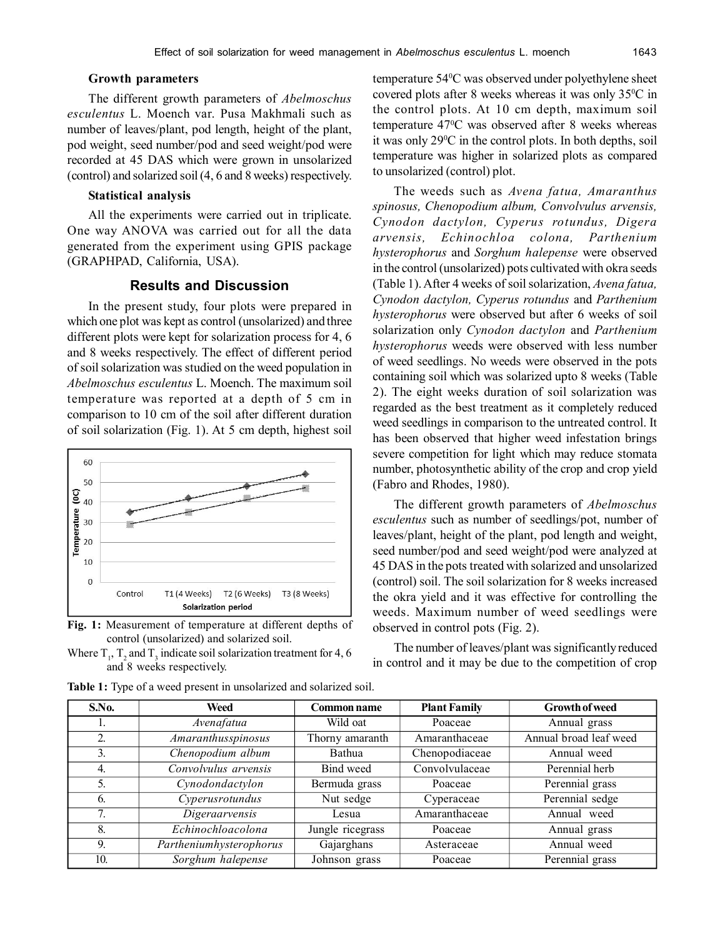### **Growth parameters**

The different growth parameters of *Abelmoschus esculentus* L. Moench var. Pusa Makhmali such as number of leaves/plant, pod length, height of the plant, pod weight, seed number/pod and seed weight/pod were recorded at 45 DAS which were grown in unsolarized (control) and solarized soil (4, 6 and 8 weeks) respectively.

# **Statistical analysis**

All the experiments were carried out in triplicate. One way ANOVA was carried out for all the data generated from the experiment using GPIS package (GRAPHPAD, California, USA).

# **Results and Discussion**

In the present study, four plots were prepared in which one plot was kept as control (unsolarized) and three different plots were kept for solarization process for 4, 6 and 8 weeks respectively. The effect of different period of soil solarization was studied on the weed population in *Abelmoschus esculentus* L. Moench. The maximum soil temperature was reported at a depth of 5 cm in comparison to 10 cm of the soil after different duration of soil solarization (Fig. 1). At 5 cm depth, highest soil



**Fig. 1:** Measurement of temperature at different depths of control (unsolarized) and solarized soil.

Where  $T_1$ ,  $T_2$  and  $T_3$  indicate soil solarization treatment for 4, 6 and 8 weeks respectively.

temperature 54<sup>0</sup>C was observed under polyethylene sheet covered plots after 8 weeks whereas it was only  $35^{\circ}$ C in the control plots. At 10 cm depth, maximum soil temperature 47<sup>0</sup>C was observed after 8 weeks whereas it was only  $29^{\circ}$ C in the control plots. In both depths, soil temperature was higher in solarized plots as compared to unsolarized (control) plot.

The weeds such as *Avena fatua, Amaranthus spinosus, Chenopodium album, Convolvulus arvensis, Cynodon dactylon, Cyperus rotundus, Digera arvensis, Echinochloa colona, Parthenium hysterophorus* and *Sorghum halepense* were observed in the control (unsolarized) pots cultivated with okra seeds (Table 1). After 4 weeks of soil solarization, *Avena fatua, Cynodon dactylon, Cyperus rotundus* and *Parthenium hysterophorus* were observed but after 6 weeks of soil solarization only *Cynodon dactylon* and *Parthenium hysterophorus* weeds were observed with less number of weed seedlings. No weeds were observed in the pots containing soil which was solarized upto 8 weeks (Table 2). The eight weeks duration of soil solarization was regarded as the best treatment as it completely reduced weed seedlings in comparison to the untreated control. It has been observed that higher weed infestation brings severe competition for light which may reduce stomata number, photosynthetic ability of the crop and crop yield (Fabro and Rhodes, 1980).

The different growth parameters of *Abelmoschus esculentus* such as number of seedlings/pot, number of leaves/plant, height of the plant, pod length and weight, seed number/pod and seed weight/pod were analyzed at 45 DAS in the pots treated with solarized and unsolarized (control) soil. The soil solarization for 8 weeks increased the okra yield and it was effective for controlling the weeds. Maximum number of weed seedlings were observed in control pots (Fig. 2).

The number of leaves/plant was significantly reduced in control and it may be due to the competition of crop

| S.No.            | Weed                    | <b>Common name</b> | <b>Plant Family</b> | <b>Growth of weed</b>  |
|------------------|-------------------------|--------------------|---------------------|------------------------|
|                  | Avenafatua              | Wild oat           | Poaceae             | Annual grass           |
| $\overline{2}$ . | Amaranthusspinosus      | Thorny amaranth    | Amaranthaceae       | Annual broad leaf weed |
| 3.               | Chenopodium album       | Bathua             | Chenopodiaceae      | Annual weed            |
| 4.               | Convolvulus arvensis    | Bind weed          | Convolvulaceae      | Perennial herb         |
| 5.               | Cynodondactylon         | Bermuda grass      | Poaceae             | Perennial grass        |
| 6.               | Cyperusrotundus         | Nut sedge          | Cyperaceae          | Perennial sedge        |
| 7.               | Digeraarvensis          | Lesua              | Amaranthaceae       | Annual weed            |
| 8.               | Echinochloacolona       | Jungle ricegrass   | Poaceae             | Annual grass           |
| 9.               | Partheniumhysterophorus | Gajarghans         | Asteraceae          | Annual weed            |
| 10.              | Sorghum halepense       | Johnson grass      | Poaceae             | Perennial grass        |

**Table 1:** Type of a weed present in unsolarized and solarized soil.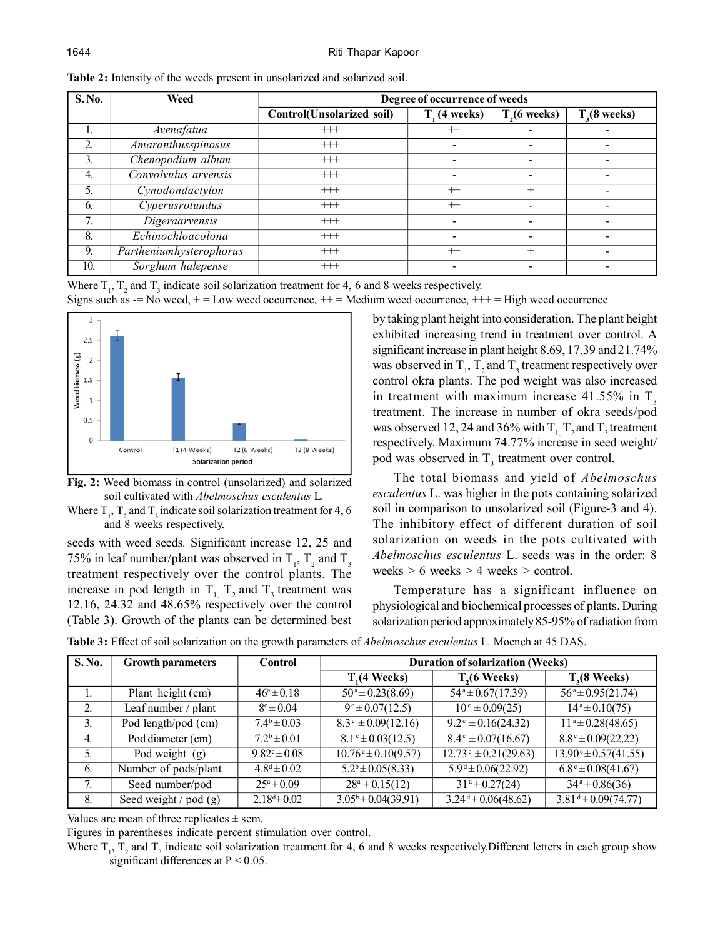| <b>S.No.</b>   | Weed                      | Degree of occurrence of weeds |                |                          |                          |  |
|----------------|---------------------------|-------------------------------|----------------|--------------------------|--------------------------|--|
|                |                           | Control(Unsolarized soil)     | $T1$ (4 weeks) | T <sub>2</sub> (6 weeks) | T <sub>3</sub> (8 weeks) |  |
| 1.             | Avenafatua                | $++$                          | $^{++}$        |                          |                          |  |
| 2.             | <b>Amaranthusspinosus</b> | $++$                          |                |                          |                          |  |
| $\mathfrak{Z}$ | Chenopodium album         | $++$                          |                |                          |                          |  |
| 4.             | Convolvulus arvensis      | $++$                          |                |                          |                          |  |
| 5 <sub>1</sub> | Cynodondactylon           | $++$                          | $^{++}$        | $^{+}$                   |                          |  |
| 6.             | Cyperusrotundus           | $++$                          | $^{++}$        |                          |                          |  |
| 7.             | Digeraarvensis            | $++$                          |                |                          |                          |  |
| 8.             | Echinochloacolona         | $++$                          |                |                          |                          |  |
| 9.             | Partheniumhysterophorus   | $++$                          | $^{++}$        | $+$                      |                          |  |
| 10.            | Sorghum halepense         | $++$                          |                |                          |                          |  |

**Table 2:** Intensity of the weeds present in unsolarized and solarized soil.

Where  $T_1$ ,  $T_2$  and  $T_3$  indicate soil solarization treatment for 4, 6 and 8 weeks respectively. Signs such as  $=$  No weed,  $+$  = Low weed occurrence,  $++$  = Medium weed occurrence,  $++$  = High weed occurrence



**Fig. 2:** Weed biomass in control (unsolarized) and solarized soil cultivated with *Abelmoschus esculentus* L.

Where  $T_1$ ,  $T_2$  and  $T_3$  indicate soil solarization treatment for 4, 6 and 8 weeks respectively.

seeds with weed seeds*.* Significant increase 12, 25 and 75% in leaf number/plant was observed in  $T_1$ ,  $T_2$  and  $T_3$ treatment respectively over the control plants. The increase in pod length in  $T_1$ ,  $T_2$  and  $T_3$  treatment was 12.16, 24.32 and 48.65% respectively over the control (Table 3). Growth of the plants can be determined best by taking plant height into consideration. The plant height exhibited increasing trend in treatment over control. A significant increase in plant height 8.69, 17.39 and 21.74% was observed in  $T_1$ ,  $T_2$  and  $T_3$  treatment respectively over control okra plants. The pod weight was also increased in treatment with maximum increase  $41.55\%$  in T<sub>3</sub> treatment. The increase in number of okra seeds/pod was observed 12, 24 and 36% with  $T_1$ ,  $T_2$  and  $T_3$  treatment respectively. Maximum 74.77% increase in seed weight/ pod was observed in  $T_3$  treatment over control.

The total biomass and yield of *Abelmoschus esculentus* L. was higher in the pots containing solarized soil in comparison to unsolarized soil (Figure-3 and 4). The inhibitory effect of different duration of soil solarization on weeds in the pots cultivated with *Abelmoschus esculentus* L. seeds was in the order: 8 weeks  $> 6$  weeks  $> 4$  weeks  $>$  control.

Temperature has a significant influence on physiological and biochemical processes of plants. During solarization period approximately 85-95% of radiation from

| S. No. | <b>Growth parameters</b>  | <b>Control</b>          | <b>Duration of solarization (Weeks)</b> |                                        |                                              |
|--------|---------------------------|-------------------------|-----------------------------------------|----------------------------------------|----------------------------------------------|
|        |                           |                         | $T1(4 \text{ Weeks})$                   | $T1(6 \text{ Weeks})$                  | $T3(8 \text{ Weeks})$                        |
|        | Plant height (cm)         | $46^a \pm 0.18$         | $50^a \pm 0.23(8.69)$                   | $54^a \pm 0.67(17.39)$                 | $56^a \pm 0.95(21.74)$                       |
| 2.     | Leaf number / plant       | $8^{\circ} \pm 0.04$    | $9^\circ \pm 0.07(12.5)$                | $10^{\circ} \pm 0.09(25)$              | $14^a \pm 0.10(75)$                          |
| 3.     | Pod length/pod (cm)       | $7.4^b \pm 0.03$        | $8.3^{\circ} \pm 0.09(12.16)$           | $9.2^{\circ} \pm 0.16(24.32)$          | $11^a \pm 0.28(48.65)$                       |
| 4.     | Pod diameter (cm)         | $7.2^b \pm 0.01$        | $8.1^{\circ} \pm 0.03(12.5)$            | $8.4^{\circ} \pm 0.07(16.67)$          | $8.8^{\circ} \pm 0.09(22.22)$                |
| 5.     | Pod weight $(g)$          | $9.82^{\circ} \pm 0.08$ | $10.76^{\circ} \pm 0.10(9.57)$          | $\sqrt{12.73^{\circ} \pm 0.21(29.63)}$ | $\overline{13.90^{\circ} \pm 0.57(41.55)}$   |
| 6.     | Number of pods/plant      | $4.8^d \pm 0.02$        | $5.2^b \pm 0.05(8.33)$                  | $5.9^d \pm 0.06(22.92)$                | $6.8^{\circ} \pm 0.08(41.67)$                |
| 7.     | Seed number/pod           | $25^a \pm 0.09$         | $28^a \pm 0.15(12)$                     | $31^a \pm 0.27(24)$                    | $34^a \pm 0.86(36)$                          |
| 8.     | Seed weight $/$ pod $(g)$ | $2.18^{d} \pm 0.02$     | $3.05^b \pm 0.04(39.91)$                | $3.24^{\text{d}} \pm 0.06(48.62)$      | $\overline{3.81}$ <sup>d</sup> ± 0.09(74.77) |

**Table 3:** Effect of soil solarization on the growth parameters of *Abelmoschus esculentus* L. Moench at 45 DAS.

Values are mean of three replicates  $\pm$  sem.

Figures in parentheses indicate percent stimulation over control.

Where  $T_1$ ,  $T_2$  and  $T_3$  indicate soil solarization treatment for 4, 6 and 8 weeks respectively. Different letters in each group show significant differences at P < 0.05.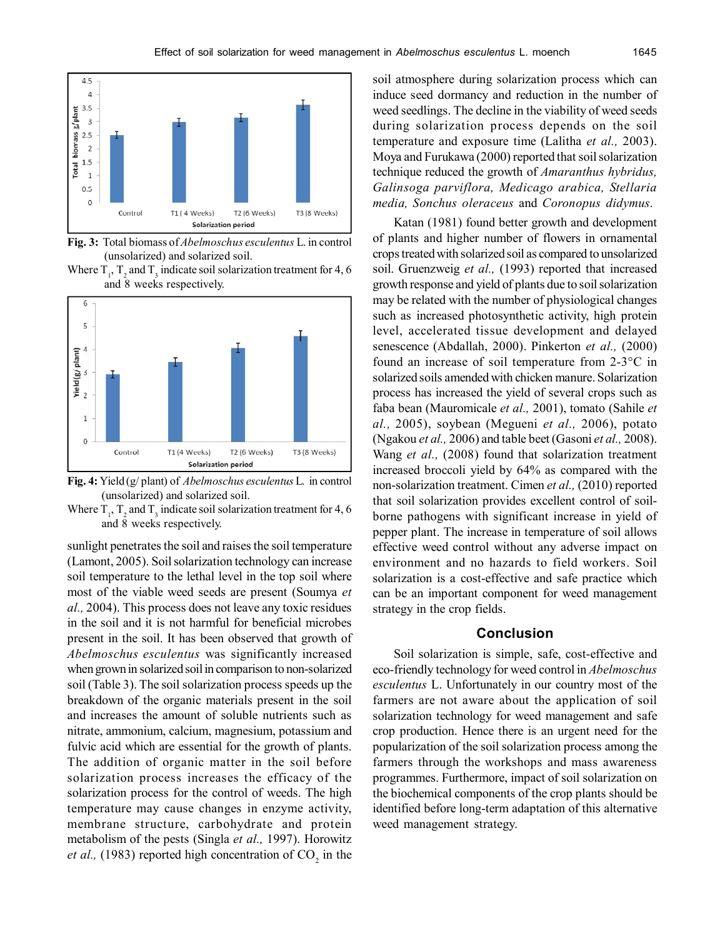

**Fig. 3:** Total biomass of *Abelmoschus esculentus* L. in control (unsolarized) and solarized soil.

Where  $T_1$ ,  $T_2$  and  $T_3$  indicate soil solarization treatment for 4, 6 and 8 weeks respectively.



**Fig. 4:** Yield (g/ plant) of *Abelmoschus esculentus* L. in control (unsolarized) and solarized soil.

Where  $T_1$ ,  $T_2$  and  $T_3$  indicate soil solarization treatment for 4, 6 and 8 weeks respectively.

sunlight penetrates the soil and raises the soil temperature (Lamont, 2005). Soil solarization technology can increase soil temperature to the lethal level in the top soil where most of the viable weed seeds are present (Soumya *et al.,* 2004). This process does not leave any toxic residues in the soil and it is not harmful for beneficial microbes present in the soil. It has been observed that growth of *Abelmoschus esculentus* was significantly increased when grown in solarized soil in comparison to non-solarized soil (Table 3). The soil solarization process speeds up the breakdown of the organic materials present in the soil and increases the amount of soluble nutrients such as nitrate, ammonium, calcium, magnesium, potassium and fulvic acid which are essential for the growth of plants. The addition of organic matter in the soil before solarization process increases the efficacy of the solarization process for the control of weeds. The high temperature may cause changes in enzyme activity, membrane structure, carbohydrate and protein metabolism of the pests (Singla *et al.,* 1997). Horowitz *et al.,* (1983) reported high concentration of  $CO_2$  in the

soil atmosphere during solarization process which can induce seed dormancy and reduction in the number of weed seedlings. The decline in the viability of weed seeds during solarization process depends on the soil temperature and exposure time (Lalitha *et al.,* 2003). Moya and Furukawa (2000) reported that soil solarization technique reduced the growth of *Amaranthus hybridus, Galinsoga parviflora, Medicago arabica, Stellaria media, Sonchus oleraceus* and *Coronopus didymus.*

Katan (1981) found better growth and development of plants and higher number of flowers in ornamental crops treated with solarized soil as compared to unsolarized soil. Gruenzweig *et al.,* (1993) reported that increased growth response and yield of plants due to soil solarization may be related with the number of physiological changes such as increased photosynthetic activity, high protein level, accelerated tissue development and delayed senescence (Abdallah, 2000). Pinkerton *et al.,* (2000) found an increase of soil temperature from 2-3°C in solarized soils amended with chicken manure. Solarization process has increased the yield of several crops such as faba bean (Mauromicale *et al.,* 2001), tomato (Sahile *et al.,* 2005), soybean (Megueni *et al.,* 2006), potato (Ngakou *et al.,* 2006) and table beet (Gasoni *et al.,* 2008). Wang *et al.,* (2008) found that solarization treatment increased broccoli yield by 64% as compared with the non-solarization treatment. Cimen *et al.,* (2010) reported that soil solarization provides excellent control of soilborne pathogens with significant increase in yield of pepper plant. The increase in temperature of soil allows effective weed control without any adverse impact on environment and no hazards to field workers. Soil solarization is a cost-effective and safe practice which can be an important component for weed management strategy in the crop fields.

# **Conclusion**

Soil solarization is simple, safe, cost-effective and eco-friendly technology for weed control in *Abelmoschus esculentus* L. Unfortunately in our country most of the farmers are not aware about the application of soil solarization technology for weed management and safe crop production. Hence there is an urgent need for the popularization of the soil solarization process among the farmers through the workshops and mass awareness programmes. Furthermore, impact of soil solarization on the biochemical components of the crop plants should be identified before long-term adaptation of this alternative weed management strategy.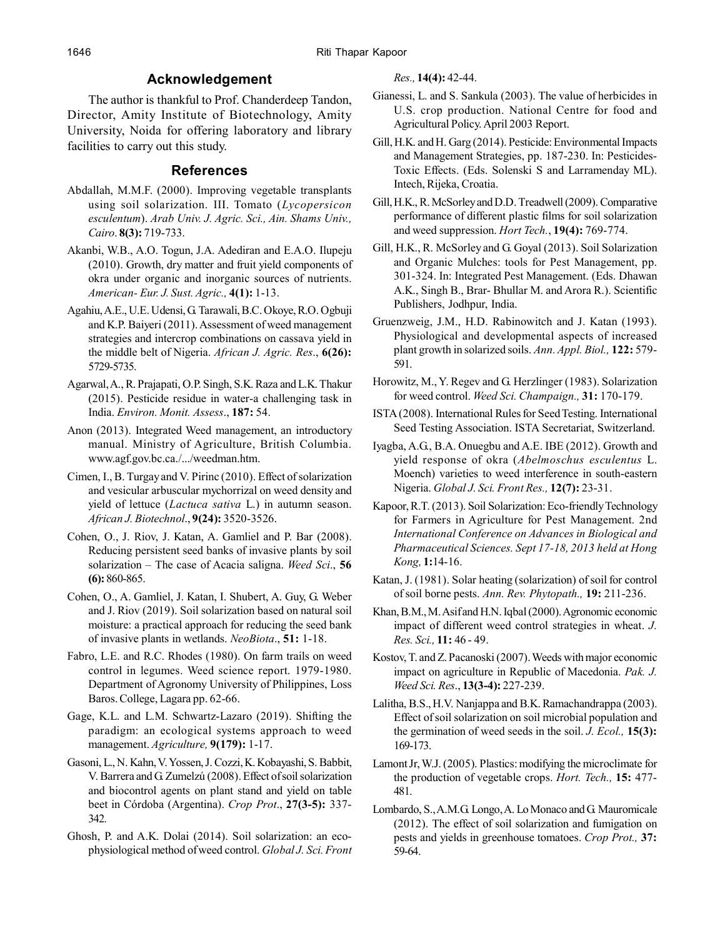# **Acknowledgement**

The author is thankful to Prof. Chanderdeep Tandon, Director, Amity Institute of Biotechnology, Amity University, Noida for offering laboratory and library facilities to carry out this study.

# **References**

- Abdallah, M.M.F. (2000). Improving vegetable transplants using soil solarization. III. Tomato (*Lycopersicon esculentum*). *Arab Univ. J. Agric. Sci., Ain. Shams Univ., Cairo*. **8(3):** 719-733.
- Akanbi, W.B., A.O. Togun, J.A. Adediran and E.A.O. Ilupeju (2010). Growth, dry matter and fruit yield components of okra under organic and inorganic sources of nutrients. *American- Eur. J. Sust. Agric.,* **4(1):** 1-13.
- Agahiu, A.E., U.E. Udensi, G. Tarawali, B.C. Okoye, R.O. Ogbuji and K.P. Baiyeri (2011). Assessment of weed management strategies and intercrop combinations on cassava yield in the middle belt of Nigeria. *African J. Agric. Res*., **6(26):** 5729-5735.
- Agarwal, A., R. Prajapati, O.P. Singh, S.K. Raza and L.K. Thakur (2015). Pesticide residue in water-a challenging task in India. *Environ. Monit. Assess*., **187:** 54.
- Anon (2013). Integrated Weed management, an introductory manual. Ministry of Agriculture, British Columbia. www.agf.gov.bc.ca./.../weedman.htm.
- Cimen, I., B. Turgay and V. Pirinc (2010). Effect of solarization and vesicular arbuscular mychorrizal on weed density and yield of lettuce (*Lactuca sativa* L.) in autumn season. *African J. Biotechnol*., **9(24):** 3520-3526.
- Cohen, O., J. Riov, J. Katan, A. Gamliel and P. Bar (2008). Reducing persistent seed banks of invasive plants by soil solarization – The case of Acacia saligna. *Weed Sci*., **56 (6):** 860-865.
- Cohen, O., A. Gamliel, J. Katan, I. Shubert, A. Guy, G. Weber and J. Riov (2019). Soil solarization based on natural soil moisture: a practical approach for reducing the seed bank of invasive plants in wetlands. *NeoBiota*., **51:** 1-18.
- Fabro, L.E. and R.C. Rhodes (1980). On farm trails on weed control in legumes. Weed science report. 1979-1980. Department of Agronomy University of Philippines, Loss Baros. College, Lagara pp. 62-66.
- Gage, K.L. and L.M. Schwartz-Lazaro (2019). Shifting the paradigm: an ecological systems approach to weed management. *Agriculture,* **9(179):** 1-17.
- Gasoni, L., N. Kahn, V. Yossen, J. Cozzi, K. Kobayashi, S. Babbit, V. Barrera and G. Zumelzú (2008). Effect of soil solarization and biocontrol agents on plant stand and yield on table beet in Córdoba (Argentina). *Crop Prot*., **27(3-5):** 337- 342.
- Ghosh, P. and A.K. Dolai (2014). Soil solarization: an ecophysiological method of weed control. *Global J. Sci. Front*

*Res.,* **14(4):** 42-44.

- Gianessi, L. and S. Sankula (2003). The value of herbicides in U.S. crop production. National Centre for food and Agricultural Policy. April 2003 Report.
- Gill, H.K. and H. Garg (2014). Pesticide: Environmental Impacts and Management Strategies, pp. 187-230. In: Pesticides-Toxic Effects. (Eds. Solenski S and Larramenday ML). Intech, Rijeka, Croatia.
- Gill, H.K., R. McSorley and D.D. Treadwell (2009). Comparative performance of different plastic films for soil solarization and weed suppression. *Hort Tech.*, **19(4):** 769-774.
- Gill, H.K., R. McSorley and G. Goyal (2013). Soil Solarization and Organic Mulches: tools for Pest Management, pp. 301-324. In: Integrated Pest Management. (Eds. Dhawan A.K., Singh B., Brar- Bhullar M. and Arora R.). Scientific Publishers, Jodhpur, India.
- Gruenzweig, J.M., H.D. Rabinowitch and J. Katan (1993). Physiological and developmental aspects of increased plant growth in solarized soils. *Ann. Appl. Biol.,* **122:** 579- 591.
- Horowitz, M., Y. Regev and G. Herzlinger (1983). Solarization for weed control. *Weed Sci. Champaign.,* **31:** 170-179.
- ISTA (2008). International Rules for Seed Testing. International Seed Testing Association. ISTA Secretariat, Switzerland.
- Iyagba, A.G., B.A. Onuegbu and A.E. IBE (2012). Growth and yield response of okra (*Abelmoschus esculentus* L. Moench) varieties to weed interference in south-eastern Nigeria. *Global J. Sci. Front Res.,* **12(7):** 23-31.
- Kapoor, R.T. (2013). Soil Solarization: Eco-friendly Technology for Farmers in Agriculture for Pest Management. 2nd *International Conference on Advances in Biological and Pharmaceutical Sciences. Sept 17-18, 2013 held at Hong Kong,* **1:**14-16.
- Katan, J. (1981). Solar heating (solarization) of soil for control of soil borne pests. *Ann. Rev. Phytopath.,* **19:** 211-236.
- Khan, B.M., M. Asif and H.N. Iqbal (2000). Agronomic economic impact of different weed control strategies in wheat. *J. Res. Sci.,* **11:** 46 - 49.
- Kostov, T. and Z. Pacanoski (2007). Weeds with major economic impact on agriculture in Republic of Macedonia. *Pak. J. Weed Sci. Res*., **13(3-4):** 227-239.
- Lalitha, B.S., H.V. Nanjappa and B.K. Ramachandrappa (2003). Effect of soil solarization on soil microbial population and the germination of weed seeds in the soil. *J. Ecol.,* **15(3):** 169-173.
- Lamont Jr, W.J. (2005). Plastics: modifying the microclimate for the production of vegetable crops. *Hort. Tech.,* **15:** 477- 481.
- Lombardo, S., A.M.G. Longo, A. Lo Monaco and G. Mauromicale (2012). The effect of soil solarization and fumigation on pests and yields in greenhouse tomatoes. *Crop Prot.,* **37:** 59-64.